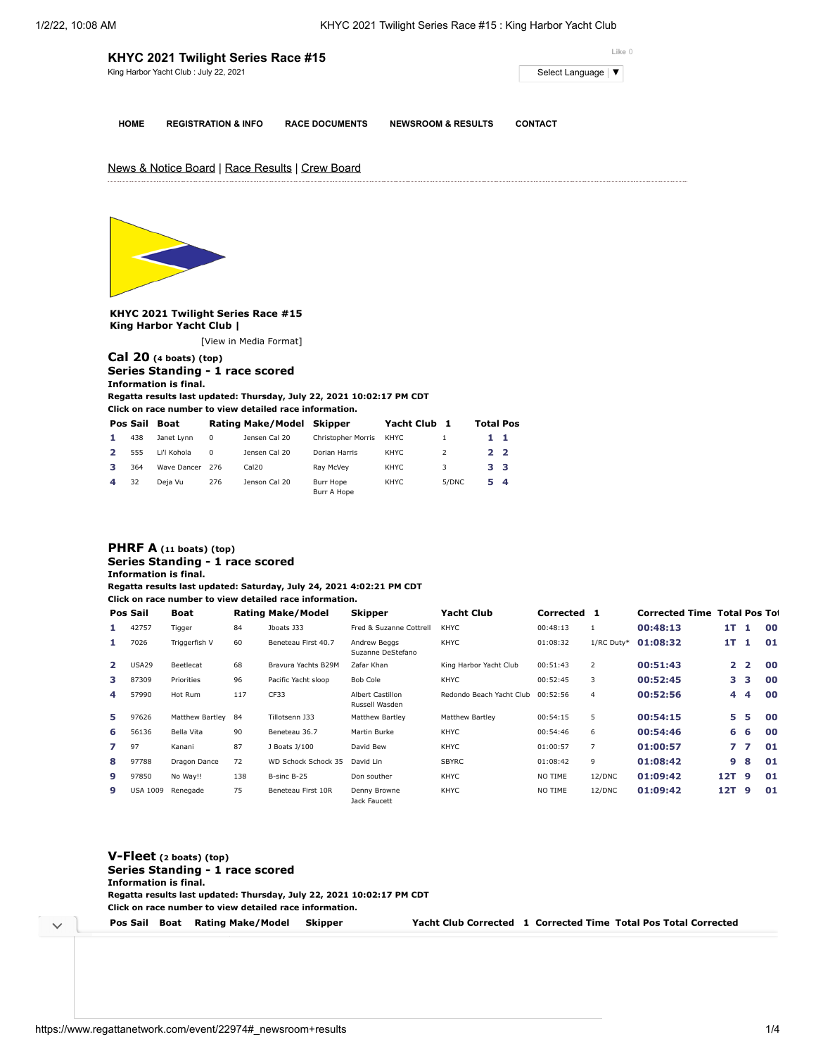|                                                              | KHYC 2021 Twilight Series Race #15 | Like 0                |                               |                |  |  |  |
|--------------------------------------------------------------|------------------------------------|-----------------------|-------------------------------|----------------|--|--|--|
| King Harbor Yacht Club: July 22, 2021<br>Select Language   ▼ |                                    |                       |                               |                |  |  |  |
|                                                              |                                    |                       |                               |                |  |  |  |
| <b>HOME</b>                                                  | <b>REGISTRATION &amp; INFO</b>     | <b>RACE DOCUMENTS</b> | <b>NEWSROOM &amp; RESULTS</b> | <b>CONTACT</b> |  |  |  |

# News & Notice Board | Race Results | Crew Board



**KHYC 2021 Twilight Series Race #15 King Harbor Yacht Club |**

[\[View in Media Format](https://www.regattanetwork.com/clubmgmt/applet_regatta_results.php?regatta_id=22974&show_manufacturer=1&show_crew=1&media_format=1)]

#### **[Cal 20](https://www.regattanetwork.com/clubmgmt/applet_regatta_results.php?regatta_id=22974&show_manufacturer=1&show_crew=1&limit_fleet=Cal+20) (4 boats) (top) Series Standing - 1 race scored Information is final.**

**Regatta results last updated: Thursday, July 22, 2021 10:02:17 PM CDT**

**Click on race number to view detailed race information.**

|    | Pos Sail | Boat        |          | Rating Make/Model Skipper |                           | Yacht Club |       |    | <b>Total Pos</b> |
|----|----------|-------------|----------|---------------------------|---------------------------|------------|-------|----|------------------|
| 1. | 438      | Janet Lynn  | $\Omega$ | Jensen Cal 20             | <b>Christopher Morris</b> | KHYC       |       | 11 |                  |
|    | 555      | Li'l Kohola | $\Omega$ | Jensen Cal 20             | Dorian Harris             | KHYC       |       | 22 |                  |
| з  | 364      | Wave Dancer | -276     | Cal20                     | Rav McVev                 | KHYC       | 3     | 33 |                  |
| 4  | 32       | Deja Vu     | 276      | Jenson Cal 20             | Burr Hope<br>Burr A Hope  | KHYC       | 5/DNC | 54 |                  |

### **[PHRF A](https://www.regattanetwork.com/clubmgmt/applet_regatta_results.php?regatta_id=22974&show_manufacturer=1&show_crew=1&limit_fleet=PHRF+A) (11 boats) (top) Series Standing - 1 race scored Information is final.**

**Regatta results last updated: Saturday, July 24, 2021 4:02:21 PM CDT**

**Click on race number to view detailed race information.**

|                | Pos Sail        | Boat            |      | <b>Rating Make/Model</b> | <b>Skipper</b>                            | <b>Yacht Club</b>        | Corrected |                | <b>Corrected Time Total Pos To:</b> |     |                |    |
|----------------|-----------------|-----------------|------|--------------------------|-------------------------------------------|--------------------------|-----------|----------------|-------------------------------------|-----|----------------|----|
| 1.             | 42757           | Tigger          | 84   | Jboats J33               | Fred & Suzanne Cottrell                   | <b>KHYC</b>              | 00:48:13  |                | 00:48:13                            | 1T  | $\blacksquare$ | 00 |
| 1.             | 7026            | Triggerfish V   | 60   | Beneteau First 40.7      | Andrew Beggs<br>Suzanne DeStefano         | <b>KHYC</b>              | 01:08:32  | 1/RC Duty*     | 01:08:32                            | 17  | -1             | 01 |
| $\overline{2}$ | USA29           | Beetlecat       | 68   | Bravura Yachts B29M      | Zafar Khan                                | King Harbor Yacht Club   | 00:51:43  | 2              | 00:51:43                            |     | 2 <sub>2</sub> | 00 |
| з              | 87309           | Priorities      | 96   | Pacific Yacht sloop      | Bob Cole                                  | <b>KHYC</b>              | 00:52:45  | 3              | 00:52:45                            | з.  | 3              | 00 |
| 4              | 57990           | Hot Rum         | 117  | CF33                     | <b>Albert Castillon</b><br>Russell Wasden | Redondo Beach Yacht Club | 00:52:56  | $\overline{4}$ | 00:52:56                            | 4   | 4              | 00 |
| 5              | 97626           | Matthew Bartley | - 84 | Tillotsenn J33           | Matthew Bartley                           | Matthew Bartley          | 00:54:15  | 5              | 00:54:15                            | 5.  | 5              | 00 |
| 6              | 56136           | Bella Vita      | 90   | Beneteau 36.7            | Martin Burke                              | <b>KHYC</b>              | 00:54:46  | 6              | 00:54:46                            | 6   | -6             | 00 |
| 7              | 97              | Kanani          | 87   | J Boats J/100            | David Bew                                 | <b>KHYC</b>              | 01:00:57  | $\overline{7}$ | 01:00:57                            |     | 77             | 01 |
| 8              | 97788           | Dragon Dance    | 72   | WD Schock Schock 35      | David Lin                                 | <b>SBYRC</b>             | 01:08:42  | 9              | 01:08:42                            | 9   | 8              | 01 |
| 9              | 97850           | No Way!!        | 138  | B-sinc B-25              | Don souther                               | KHYC                     | NO TIME   | 12/DNC         | 01:09:42                            | 12T | -9             | 01 |
| 9              | <b>USA 1009</b> | Renegade        | 75   | Beneteau First 10R       | Denny Browne<br>Jack Faucett              | <b>KHYC</b>              | NO TIME   | 12/DNC         | 01:09:42                            | 12T | -9             | 01 |

| $V$ -Fleet (2 boats) (top) | Series Standing - 1 race scored                                       |         |  |                                                                 |
|----------------------------|-----------------------------------------------------------------------|---------|--|-----------------------------------------------------------------|
| Information is final.      |                                                                       |         |  |                                                                 |
|                            | Regatta results last updated: Thursday, July 22, 2021 10:02:17 PM CDT |         |  |                                                                 |
|                            | Click on race number to view detailed race information.               |         |  |                                                                 |
| Pos Sail Boat              | Rating Make/Model                                                     | Skipper |  | Yacht Club Corrected 1 Corrected Time Total Pos Total Corrected |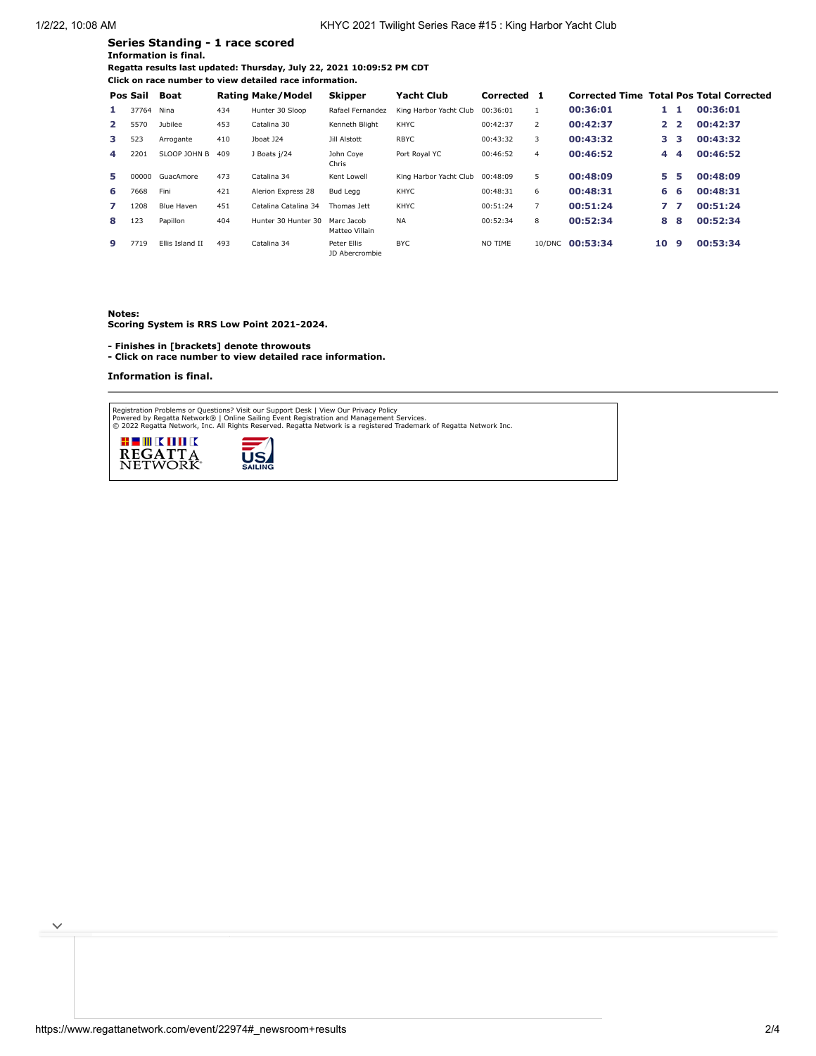## **Series Standing - 1 race scored Information is final.**

**Regatta results last updated: Thursday, July 22, 2021 10:09:52 PM CDT Click on race number to view detailed race information.**

|              | Pos Sail   | Boat              |     | <b>Rating Make/Model</b> | <b>Skipper</b>                | Yacht Club             | Corrected |                |                 |                |    | <b>Corrected Time Total Pos Total Corrected</b> |
|--------------|------------|-------------------|-----|--------------------------|-------------------------------|------------------------|-----------|----------------|-----------------|----------------|----|-------------------------------------------------|
| 1.           | 37764 Nina |                   | 434 | Hunter 30 Sloop          | Rafael Fernandez              | King Harbor Yacht Club | 00:36:01  |                | 00:36:01        | 1.             | -1 | 00:36:01                                        |
| $\mathbf{2}$ | 5570       | Jubilee           | 453 | Catalina 30              | Kenneth Bliaht                | <b>KHYC</b>            | 00:42:37  | $\overline{2}$ | 00:42:37        | 2 <sub>2</sub> |    | 00:42:37                                        |
| 3            | 523        | Arrogante         | 410 | Jboat J24                | Jill Alstott                  | <b>RBYC</b>            | 00:43:32  | 3              | 00:43:32        | з.             | з  | 00:43:32                                        |
| 4            | 2201       | SLOOP JOHN B      | 409 | J Boats j/24             | John Cove<br>Chris            | Port Roval YC          | 00:46:52  | 4              | 00:46:52        | 4              | 4  | 00:46:52                                        |
| 5.           | 00000      | GuacAmore         | 473 | Catalina 34              | Kent Lowell                   | King Harbor Yacht Club | 00:48:09  | 5              | 00:48:09        | 5.             | 5  | 00:48:09                                        |
| 6.           | 7668       | Fini              | 421 | Alerion Express 28       | Bud Legg                      | <b>KHYC</b>            | 00:48:31  | 6              | 00:48:31        | 6              | 6  | 00:48:31                                        |
| 7            | 1208       | <b>Blue Haven</b> | 451 | Catalina Catalina 34     | Thomas lett                   | <b>KHYC</b>            | 00:51:24  | 7              | 00:51:24        | 7              | 7  | 00:51:24                                        |
| 8            | 123        | Papillon          | 404 | Hunter 30 Hunter 30      | Marc Jacob<br>Matteo Villain  | <b>NA</b>              | 00:52:34  | 8              | 00:52:34        | 8              | 8  | 00:52:34                                        |
| 9            | 7719       | Ellis Island II   | 493 | Catalina 34              | Peter Ellis<br>JD Abercrombie | <b>BYC</b>             | NO TIME   |                | 10/DNC 00:53:34 | 10             | 9  | 00:53:34                                        |

**Notes:**

**Scoring System is RRS Low Point 2021-2024.**

**- Finishes in [brackets] denote throwouts** 

**- Click on race number to view detailed race information.**

**U.S.** 

#### **Information is final.**

Registration Problems or Questions? [Visit our Support Desk](http://support.regattanetwork.com/) | [View Our Privacy Policy](https://www.regattanetwork.com/html/privacy.html)<br>[Powered by Regatta Network®](http://www.regattanetwork.com/) | Online Sailing Event Registration and Management Services.<br>© 2022 [Regatta Network,](http://www.regattanetwork.com/) Inc. All Rights Reserved